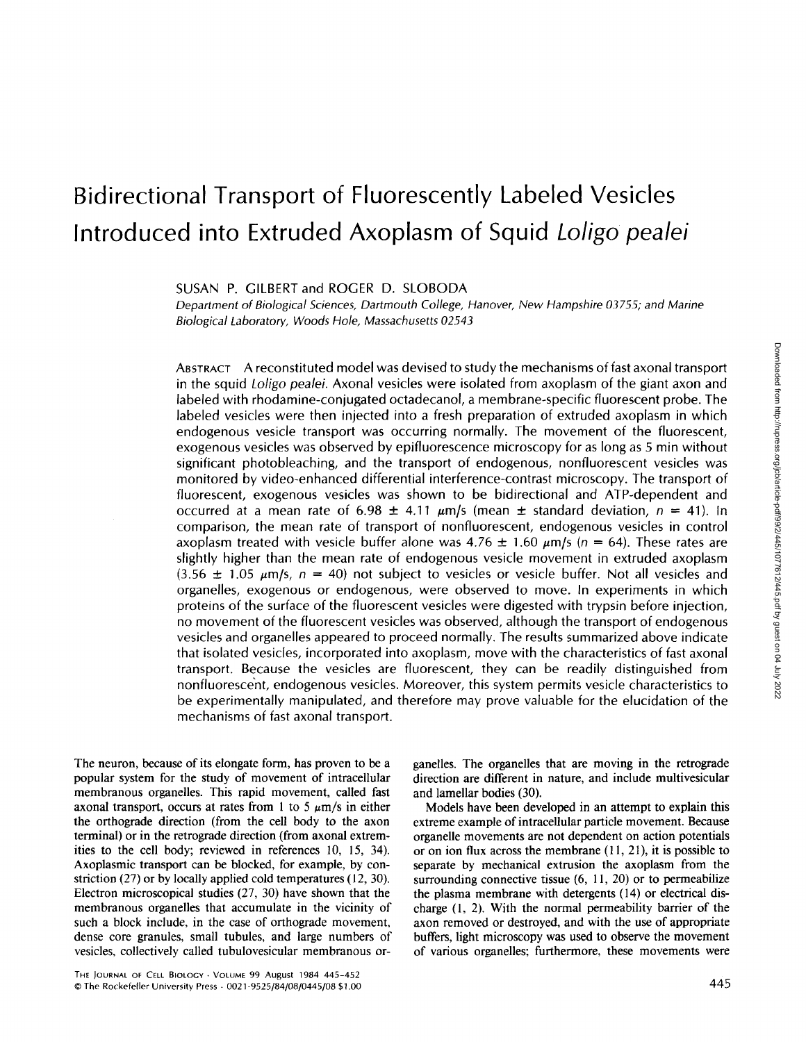## Bidirectional Transport of Fluorescently Labeled Vesicles Introduced into Extruded Axoplasm of Squid Loligo pealei

SUSAN P. GILBERT and ROGER D. SLOBODA

Department of Biological Sciences, Dartmouth College, Hanover, New Hampshire 03755; and Marine Biological Laboratory, Woods Hole, Massachusetts 02543

ABSTRACT A reconstituted model was devised to study the mechanisms of fast axonal transport in the squid *Loligo pealei*. Axonal vesicles were isolated from axoplasm of the giant axon and labeled with rhodamine-conjugated octadecanol, a membrane-specific fluorescent probe. The labeled vesicles were then injected into a fresh preparation of extruded axoplasm in which endogenous vesicle transport was occurring normally. The movement of the fluorescent, exogenous vesicles was observed by epifluorescence microscopy for as long as 5 min without significant photobleaching, and the transport of endogenous, nonfluorescent vesicles was monitored by video-enhanced differential interference-contrast microscopy. The transport of fluorescent, exogenous vesicles was shown to be bidirectional and ATP-dependent and occurred at a mean rate of 6.98  $\pm$  4.11  $\mu$ m/s (mean  $\pm$  standard deviation,  $n = 41$ ). In comparison, the mean rate of transport of nonfluorescent, endogenous vesicles in control axoplasm treated with vesicle buffer alone was 4.76  $\pm$  1.60  $\mu$ m/s (n = 64). These rates are slightly higher than the mean rate of endogenous vesicle movement in extruded axoplasm  $(3.56 \pm 1.05 \mu \text{m/s}, n = 40)$  not subject to vesicles or vesicle buffer. Not all vesicles and organelles, exogenous or endogenous, were observed to move. In experiments in which proteins of the surface of the fluorescent vesicles were digested with trypsin before injection, no movement of the fluorescent vesicles was observed, although the transport of endogenous vesicles and organelles appeared to proceed normally. The results summarized above indicate that isolated vesicles, incorporated into axoplasm, move with the characteristics of fast axonal transport. Because the vesicles are fluorescent, they can be readily distinguished from nonfluorescent, endogenous vesicles . Moreover, this system permits vesicle characteristics to be experimentally manipulated, and therefore may prove valuable for the elucidation of the mechanisms of fast axonal transport.

The neuron, because of its elongate form, has proven to be a popular system for the study of movement of intracellular membranous organelles. This rapid movement, called fast axonal transport, occurs at rates from 1 to 5  $\mu$ m/s in either the orthograde direction (from the cell body to the axon terminal) or in the retrograde direction (from axonal extremities to the cell body; reviewed in references 10, 15, 34). Axoplasmic transport can be blocked, for example, by constriction (27) or by locally applied cold temperatures (12, 30). Electron microscopical studies (27, 30) have shown that the membranous organelles that accumulate in the vicinity of such a block include, in the case of orthograde movement, dense core granules, small tubules, and large numbers of vesicles, collectively called tubulovesicular membranous or-

THE JOURNAL OF CELL BIOLOGY · VOLUME 99 AURUST 1984 445-452 C The Rockefeller University Press - 0021-9525/84/08/0445/08 \$1 .00 ganelles. The organelles that are moving in the retrograde direction are different in nature, and include multivesicular and lamellar bodies (30).

Models have been developed in an attempt to explain this extreme example of intracellular particle movement. Because organelle movements are not dependent on action potentials or on ion flux across the membrane (11, 21), it is possible to separate by mechanical extrusion the axoplasm from the surrounding connective tissue (6, 11, 20) or to permeabilize the plasma membrane with detergents (14) or electrical discharge (1, 2) . With the normal permeability barrier of the axon removed or destroyed, and with the use of appropriate buffers, light microscopy was used to observe the movement of various organelles; furthermore, these movements were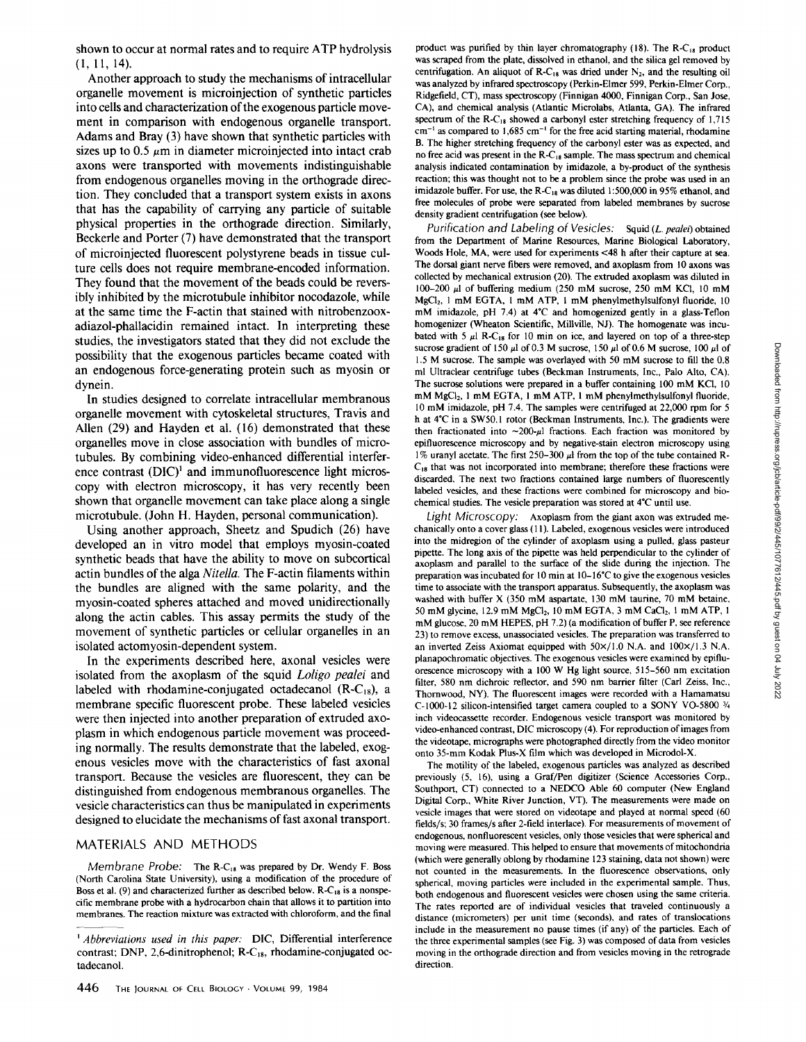shown to occur at normal rates and to require ATP hydrolysis (1, 11, 14).

Another approach to study the mechanisms of intracellular organelle movement is microinjection of synthetic particles into cells and characterization of the exogenous particle movement in comparison with endogenous organelle transport. Adamsand Bray (3) have shown that synthetic particles with sizes up to  $0.5 \mu m$  in diameter microinjected into intact crab axons were transported with movements indistinguishable from endogenous organelles moving in the orthograde direction. They concluded that a transport system exists in axons that has the capability of carrying any particle of suitable physical properties in the orthograde direction. Similarly, Beckerle and Porter (7) have demonstrated that the transport of microinjected fluorescent polystyrene beads in tissue culture cells does not require membrane-encoded information. They found that the movement of the beads could be reversibly inhibited by the microtubule inhibitor nocodazole, while at the same time the F-actin that stained with nitrobenzooxadiazol-phallacidin remained intact. In interpreting these studies, the investigators stated that they did not exclude the possibility that the exogenous particles became coated with an endogenous force-generating protein such as myosin or dynein.

In studies designed to correlate intracellular membranous organelle movement with cytoskeletal structures, Travis and Allen  $(29)$  and Hayden et al.  $(16)$  demonstrated that these organelles move in close association with bundles of microtubules. By combining video-enhanced differential interference contrast (DIC)' and immunofluorescence light microscopy with electron microscopy, it has very recently been shown that organelle movement can take place along a single microtubule. (John H. Hayden, personal communication).

Using another approach, Sheetz and Spudich (26) have developed an in vitro model that employs myosin-coated synthetic beads that have the ability to move on subcortical actin bundles of the alga Nitella. The F-actin filaments within the bundles are aligned with the same polarity, and the myosin-coated spheres attached and moved unidirectionally along the actin cables. This assay permits the study of the movement of synthetic particles or cellular organelles in an isolated actomyosin-dependent system .

In the experiments described here, axonal vesicles were isolated from the axoplasm of the squid Loligo pealei and labeled with rhodamine-conjugated octadecanol  $(R-C_{18})$ , a membrane specific fluorescent probe. These labeled vesicles were then injected into another preparation of extruded axoplasm in which endogenous particle movement was proceeding normally. The results demonstrate that the labeled, exogenous vesicles move with the characteristics of fast axonal transport. Because the vesicles are fluorescent, they can be distinguished from endogenous membranous organelles. The vesicle characteristics can thus be manipulated in experiments designed to elucidate the mechanisms of fast axonal transport.

## MATERIALS AND METHODS

Membrane Probe: The R-C<sub>18</sub> was prepared by Dr. Wendy F. Boss (North Carolina State University), using a modification of the procedure of Boss et al. (9) and characterized further as described below.  $R-C_{18}$  is a nonspecific membrane probe with a hydrocarbon chain that allows it to partition into membranes. The reaction mixture was extracted with chloroform, and the final product was purified by thin layer chromatography (18). The  $R-C_{18}$  product was scraped from the plate, dissolved in ethanol, and the silica gel removed by centrifugation. An aliquot of  $R-C_{18}$  was dried under  $N_2$ , and the resulting oil was analyzed by infrared spectroscopy (Perkin-Elmer 599, Perkin-Elmer Corp., Ridgefield, CT), mass spectroscopy (Finnigan 4000, Finnigan Corp., San Jose, CA), and chemical analysis (Atlantic Microlabs, Atlanta, GA). The infrared spectrum of the  $R-C_{18}$  showed a carbonyl ester stretching frequency of 1,715  $cm^{-1}$  as compared to 1,685 cm<sup>-1</sup> for the free acid starting material, rhodamine B. The higher stretching frequency of the carbonyl ester was as expected, and no free acid was present in the  $R-C_{18}$  sample. The mass spectrum and chemical analysis indicated contamination by imidazole, a by-product of the synthesis reaction; this was thought not to be a problem since the probe was used in an imidazole buffer. For use, the  $R-C_{18}$  was diluted 1:500,000 in 95% ethanol, and free molecules of probe were separated from labeled membranes by sucrose density gradient centrifugation (see below).

Purification and Labeling of Vesicles: Squid (L. pealei) obtained from the Department of Marine Resources, Marine Biological Laboratory, Woods Hole, MA, were used for experiments <48 h after their capture at sea. The dorsal giant nerve fibers were removed, and axoplasm from 10 axons was collected by mechanical extrusion (20) . The extruded axoplasm was diluted in 100-200 Al of buffering medium (250 mM sucrose, <sup>250</sup> mM KCI, <sup>10</sup> mM MgC12, <sup>1</sup> mM EGTA, <sup>I</sup> mM ATP, <sup>1</sup> mM phenylmethylsulfonyl fluoride, <sup>10</sup> mM imidazole, pH 7.4) at 4°C and homogenized gently in <sup>a</sup> glass-Teflon homogenizer (Wheaton Scientific, Millville, NJ). The homogenate was incubated with 5  $\mu$ l R-C<sub>18</sub> for 10 min on ice, and layered on top of a three-step sucrose gradient of 150  $\mu$ l of 0.3 M sucrose, 150  $\mu$ l of 0.6 M sucrose, 100  $\mu$ l of 1.5 M sucrose. The sample was overlayed with 50 mM sucrose to fill the 0.8 ml Ultraclear centrifuge tubes (Beckman Instruments, Inc., Palo Alto, CA). The sucrose solutions were prepared in <sup>a</sup> buffer containing <sup>100</sup> mM KCI, <sup>10</sup> mM MgCl<sub>2</sub>, 1 mM EGTA, 1 mM ATP, 1 mM phenylmethylsulfonyl fluoride, <sup>10</sup> MM imidazole, pH 7.4. The samples were centrifuged at 22,000 rpm for <sup>5</sup> h at 4°C in a SW50.1 rotor (Beckman Instruments, Inc.). The gradients were then fractionated into  $\sim 200$ - $\mu$ l fractions. Each fraction was monitored by epifluorescence microscopy and by negative-stain electron microscopy using 1% uranyl acetate. The first 250-300  $\mu$ l from the top of the tube contained R- $C_{18}$  that was not incorporated into membrane; therefore these fractions were discarded. The next two fractions contained large numbers of fluorescently labeled vesicles, and these fractions were combined for microscopy and biochemical studies. The vesicle preparation was stored at 4°C until use.

Light Microscopy: Axoplasm from the giant axon was extruded mechanically onto a cover glass (11) . Labeled, exogenous vesicles were introduced into the midregion of the cylinder of axoplasm using a pulled, glass pasteur pipette. The long axis of the pipette was held perpendicular to the cylinder of axoplasm and parallel to the surface of the slide during the injection . The preparation was incubated for <sup>10</sup> min at 10-16°C to give the exogenous vesicles time to associate with the transport apparatus. Subsequently, the axoplasm was washed with buffer X (350 mM aspartate, <sup>130</sup> mM taurine, <sup>70</sup> mM betaine, 50 mM glycine, 12.9 mM  $MgCl<sub>2</sub>$ , 10 mM EGTA, 3 mM CaCl<sub>2</sub>, 1 mM ATP, 1 mM glucose, <sup>20</sup> mM HEPES, pH 7.2) (a modification of buffer P, see reference 23) to remove excess, unassociated vesicles . The preparation was transferred to an inverted Zeiss Axiomat equipped with  $50 \times / 1.0$  N.A. and  $100 \times / 1.3$  N.A. planapochromatic objectives. The exogenous vesicles were examined by epifluorescence microscopy with a 100 W Hg light source, 515-560 nm excitation filter, 580 nm dichroic reflector, and 590 nm barrier filter (Carl Zeiss, Inc., Thornwood, NY). The fluorescent images were recorded with a Hamamatsu C-1000-12 silicon-intensified target camera coupled to a SONY VO-5800 <sup>3</sup>/a inch videocassette recorder. Endogenous vesicle transport was monitored by video-enhanced contrast, DIC microscopy (4). For reproduction of images from the videotape, micrographs were photographed directly from the video monitor onto 35-mm Kodak Plus-X film which was developed in Microdol-X . succes gradient of 150 ale of the states. (50 ale 0.6 M success. (60 ale 0.6 M success of 0.6 ale 0.6 M success of 0.6 ale 0.6 M success (6 ale 0.6 M success or this all Ultracker centrifug teles (Becham Internation Higher

The motility of the labeled, exogenous particles was analyzed as described previously (5, 16), using a Graf/Pen digitizer (Science Accessories Corp., Southport, CT) connected to a NEDCO Able <sup>60</sup> computer (New England Digital Corp., White River Junction, VT). The measurements were made on vesicle images that were stored on videotape and played at normal speed (60 fields/s; 30 frames/s after 2-field interlace). For measurements of movement of endogenous, nonfluorescent vesicles, only those vesicles that were spherical and moving were measured. This helped to ensure that movements of mitochondria (which were generally oblong by rhodamine 123 staining, data not shown) were not counted in the measurements. In the fluorescence observations, only spherical, moving particles were included in the experimental sample. Thus, both endogenous and fluorescent vesicles were chosen using the same criteria. The rates reported are of individual vesicles that traveled continuously a distance (micrometers) per unit time (seconds), and rates of translocations include in the measurement no pause times (if any) of the particles . Each of the three experimental samples (see Fig. 3) was composed of data from vesicles moving in the orthograde direction and from vesicles moving in the retrograde

<sup>&#</sup>x27;Abbreviations used in this paper: DIC, Differential interference contrast; DNP, 2,6-dinitrophenol; R-C<sub>18</sub>, rhodamine-conjugated octadecanol.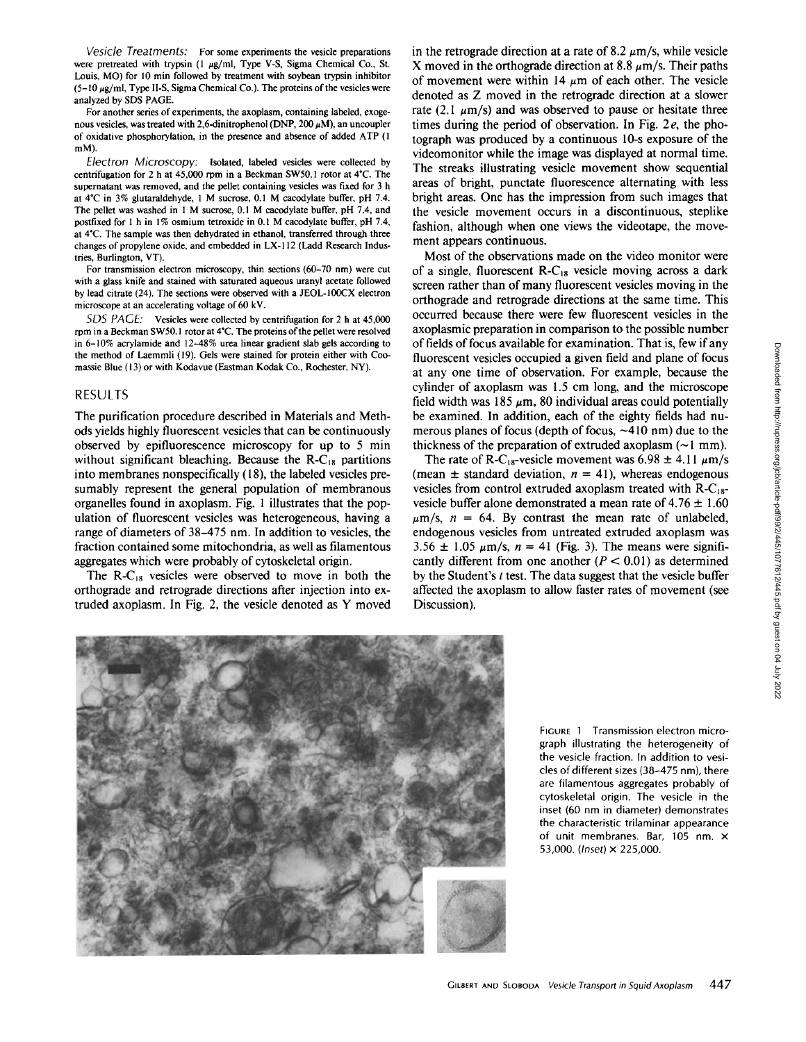Vesicle Treatments: For some experiments the vesicle preparations were pretreated with trypsin  $(1 \mu g/ml)$ , Type V-S, Sigma Chemical Co., St. Louis, MO) for 10 min followed by treatment with soybean trypsin inhibitor  $(5-10 \mu g/ml$ , Type II-S, Sigma Chemical Co.). The proteins of the vesicles were analyzed by SDS PAGE.

For another series of experiments, the axoplasm, containing labeled, exogenous vesicles, was treated with 2,6-dinitrophenol (DNP,  $200 \mu M$ ), an uncoupler of oxidative phosphorylation, in the presence and absence of added ATP (I mM).

Electron Microscopy: Isolated, labeled vesicles were collected by centrifugation for 2 <sup>h</sup> at 45,000 rpm in a Beckman SW50.1 rotor at 4°C . The supernatant was removed, and the pellet containing vesicles was fixed for 3 h at 4°C in 3% glutaraldehyde, <sup>1</sup> M sucrose, 0.1 M cacodylate buffer, pH 7.4. The pellet was washed in 1 M sucrose, 0.1 M cacodylate buffer, pH 7.4, and postfixed for 1 h in 1% osmium tetroxide in 0.1 M cacodylate buffer, pH 7.4, at 4°C. The sample was then dehydrated in ethanol, transferred through three changes of propylene oxide, and embedded in LX-112 (Ladd Research Industries, Burlington, VT).

For transmission electron microscopy, thin sections (60-70 nm) were cut with a glass knife and stained with saturated aqueous uranyl acetate followed by lead citrate (24). The sections were observed with a JEOL-100CX electron microscope at an accelerating voltage of 60 kV.

SDS PAGE: Vesicles were collected by centrifugation for 2 h at 45,000 rpm in a Beckman SW50.1 rotor at 4°C. The proteins of the pellet were resolved in 6-10% acrylamide and 12-48% urea linear gradient slab gels according to the method of Laemmli (19). Gels were stained for protein either with Coomassie Blue (13) or with Kodavue (Eastman Kodak Co., Rochester, NY).

## RESULTS

The purification procedure described in Materials and Methods yields highly fluorescent vesicles that can be continuously observed by epifluorescence microscopy for up to <sup>5</sup> min without significant bleaching. Because the  $R-C_{18}$  partitions into membranes nonspecifically (18), the labeled vesicles presumably represent the general population of membranous organelles found in axoplasm . Fig. <sup>1</sup> illustrates that the population of fluorescent vesicles was heterogeneous, having a range of diameters of 38-475 nm. In addition to vesicles, the fraction contained some mitochondria, as well as filamentous aggregates which were probably of cytoskeletal origin.

The  $R-C_{18}$  vesicles were observed to move in both the orthograde and retrograde directions after injection into extruded axoplasm. In Fig. 2, the vesicle denoted as Y moved in the retrograde direction at a rate of 8.2  $\mu$ m/s, while vesicle X moved in the orthograde direction at 8.8  $\mu$ m/s. Their paths of movement were within 14  $\mu$ m of each other. The vesicle denoted as Z moved in the retrograde direction at a slower rate (2.1  $\mu$ m/s) and was observed to pause or hesitate three times during the period of observation. In Fig. 2 $e$ , the photograph was produced by a continuous 10-s exposure of the videomonitor while the image was displayed at normal time. The streaks illustrating vesicle movement show sequential areas of bright, punctate fluorescence alternating with less bright areas. One has the impression from such images that the vesicle movement occurs in a discontinuous, steplike fashion, although when one views the videotape, the movement appears continuous.

Most of the observations made on the video monitor were of a single, fluorescent  $R-C_{18}$  vesicle moving across a dark screen rather than of many fluorescent vesicles moving in the orthograde and retrograde directions at the same time. This occurred because there were few fluorescent vesicles in the axoplasmic preparation in comparison to the possible number of fields of focus available for examination. That is, few if any fluorescent vesicles occupied a given field and plane of focus at any one time of observation . For example, because the cylinder of axoplasm was 1.5 cm long, and the microscope field width was 185  $\mu$ m, 80 individual areas could potentially be examined. In addition, each of the eighty fields had numerous planes of focus (depth of focus,  $\sim$ 410 nm) due to the thickness of the preparation of extruded axoplasm  $(\sim 1 \text{ mm})$ .

The rate of R-C<sub>18</sub>-vesicle movement was  $6.98 \pm 4.11 \mu m/s$ (mean  $\pm$  standard deviation,  $n = 41$ ), whereas endogenous vesicles from control extruded axoplasm treated with  $R-C_{18}$ vesicle buffer alone demonstrated a mean rate of  $4.76 \pm 1.60$  $\mu$ m/s,  $n = 64$ . By contrast the mean rate of unlabeled, endogenous vesicles from untreated extruded axoplasm was  $3.56 \pm 1.05 \mu \text{m/s}$ ,  $n = 41$  (Fig. 3). The means were significantly different from one another  $(P < 0.01)$  as determined by the Student's  $t$  test. The data suggest that the vesicle buffer affected the axoplasm to allow faster rates of movement (see Discussion).



FIGURE <sup>1</sup> Transmission electron micrograph illustrating the heterogeneity of the vesicle fraction . In addition to vesicles of different sizes (38-475 nm), there are filamentous aggregates probably of cytoskeletal origin. The vesicle in the inset (60 nm in diameter) demonstrates the characteristic trilaminar appearance of unit membranes. Bar, 105 nm. x 53,000. (Inset)  $\times$  225,000.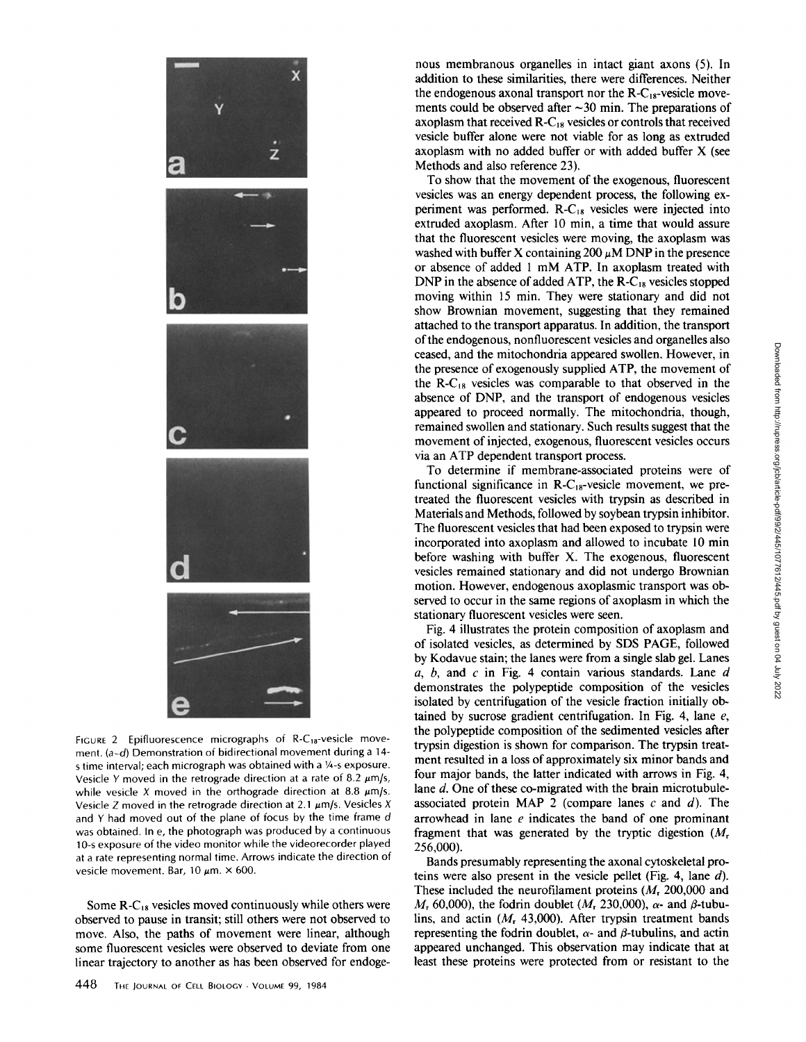

FIGURE 2 Epifluorescence micrographs of  $R-C_{18}$ -vesicle movement. (a-d) Demonstration of bidirectional movement during a 14 s time interval; each micrograph was obtained with a 1/4-s exposure. Vesicle Y moved in the retrograde direction at a rate of 8.2  $\mu$ m/s, while vesicle X moved in the orthograde direction at 8.8  $\mu$ m/s. Vesicle Z moved in the retrograde direction at 2.1  $\mu$ m/s. Vesicles X and Y had moved out of the plane of focus by the time frame d was obtained. In e, the photograph was produced by a continuous 10-s exposure of the video monitor while the videorecorder played at a rate representing normal time . Arrows indicate the direction of vesicle movement. Bar, 10  $\mu$ m.  $\times$  600.

Some R-C,s vesicles moved continuously while others were observed to pause in transit; still others were not observed to move. Also, the paths of movement were linear, although some fluorescent vesicles were observed to deviate from one linear trajectory to another as has been observed for endogenous membranous organelles in intact giant axons (5) . In addition to these similarities, there were differences. Neither the endogenous axonal transport nor the  $R-C_{18}$ -vesicle movements could be observed after  $\sim$ 30 min. The preparations of axoplasm that received  $R-C_{18}$  vesicles or controls that received vesicle buffer alone were not viable for as long as extruded axoplasm with no added buffer or with added buffer X (see Methods and also reference 23) .

To show that the movement of the exogenous, fluorescent vesicles was an energy dependent process, the following experiment was performed. R-C,8 vesicles were injected into extruded axoplasm. After 10 min, a time that would assure that the fluorescent vesicles were moving, the axoplasm was washed with buffer X containing 200  $\mu$ M DNP in the presence or absence of added <sup>1</sup> mM ATP. In axoplasm treated with DNP in the absence of added ATP, the  $R-C_{18}$  vesicles stopped moving within 15 min. They were stationary and did not show Brownian movement, suggesting that they remained attached to the transport apparatus . In addition, the transport of the endogenous, nonfluorescent vesicles and organelles also ceased, and the mitochondria appeared swollen. However, in the presence of exogenously supplied ATP, the movement of the  $R-C_{18}$  vesicles was comparable to that observed in the absence of DNP, and the transport of endogenous vesicles appeared to proceed normally. The mitochondria, though, remained swollen and stationary. Such results suggest that the movement of injected, exogenous, fluorescent vesicles occurs via an ATP dependent transport process.

To determine if membrane-associated proteins were of functional significance in  $R-C_{18}$ -vesicle movement, we pretreated the fluorescent vesicles with trypsin as described in Materials and Methods, followed by soybean trypsin inhibitor . The fluorescent vesicles that had been exposed to trypsin were incorporated into axoplasm and allowed to incubate 10 min before washing with buffer X. The exogenous, fluorescent vesicles remained stationary and did not undergo Brownian motion. However, endogenous axoplasmic transport was observed to occur in the same regions of axoplasm in which the stationary fluorescent vesicles were seen .

Fig. 4 illustrates the protein composition of axoplasm and of isolated vesicles, as determined by SDS PAGE, followed by Kodavue stain; the lanes were from a single slab gel. Lanes  $a, b,$  and  $c$  in Fig. 4 contain various standards. Lane  $d$ demonstrates the polypeptide composition of the vesicles isolated by centrifugation of the vesicle fraction initially obtained by sucrose gradient centrifugation. In Fig. 4, lane  $e$ , the polypeptide composition of the sedimented vesicles after trypsin digestion is shown for comparison. The trypsin treatment resulted in a loss of approximately six minor bands and four major bands, the latter indicated with arrows in Fig. 4, lane  $d$ . One of these co-migrated with the brain microtubuleassociated protein MAP 2 (compare lanes  $c$  and  $d$ ). The arrowhead in lane  $e$  indicates the band of one prominant fragment that was generated by the tryptic digestion  $(M<sub>r</sub>)$ 256,000).

Bands presumably representing the axonal cytoskeletal proteins were also present in the vesicle pellet (Fig. 4, lane  $d$ ). These included the neurofilament proteins  $(M<sub>r</sub> 200,000$  and  $M_r$  60,000), the fodrin doublet ( $M_r$  230,000),  $\alpha$ - and  $\beta$ -tubulins, and actin  $(M_r 43,000)$ . After trypsin treatment bands representing the fodrin doublet,  $\alpha$ - and  $\beta$ -tubulins, and actin appeared unchanged. This observation may indicate that at least these proteins were protected from or resistant to the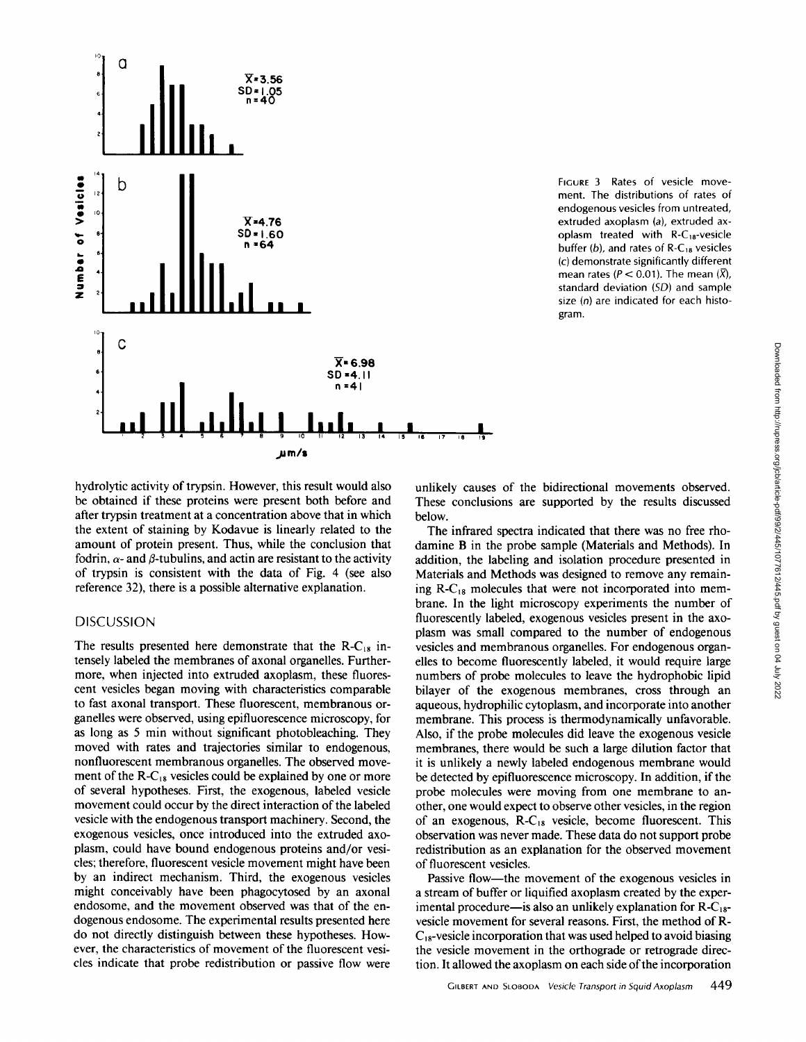

FIGURE 3 Rates of vesicle movement. The distributions of rates of endogenous vesicles from untreated, extruded axoplasm (a), extruded axoplasm treated with  $R-C_{18}$ -vesicle buffer (b), and rates of  $R-C_{18}$  vesicles (c) demonstrate significantly different mean rates ( $P < 0.01$ ). The mean ( $\overline{X}$ ), standard deviation (SD) and sample size (n) are indicated for each histogram.

hydrolytic activity of trypsin. However, this result would also be obtained if these proteins were present both before and after trypsin treatment at a concentration above that in which the extent of staining by Kodavue is linearly related to the amount of protein present. Thus, while the conclusion that fodrin,  $\alpha$ - and  $\beta$ -tubulins, and actin are resistant to the activity of trypsin is consistent with the data of Fig. 4 (see also reference 32), there is a possible alternative explanation.

## **DISCUSSION**

The results presented here demonstrate that the  $R-C_{18}$  intensely labeled the membranes of axonal organelles. Furthermore, when injected into extruded axoplasm, these fluorescent vesicles began moving with characteristics comparable to fast axonal transport. These fluorescent, membranous organelles were observed, using epifluorescence microscopy, for as long as 5 min without significant photobleaching. They moved with rates and trajectories similar to endogenous, nonfluorescent membranous organelles. The observed movement of the  $R-C_{18}$  vesicles could be explained by one or more of several hypotheses. First, the exogenous, labeled vesicle movement could occur by the direct interaction of the labeled vesicle with the endogenous transport machinery. Second, the exogenous vesicles, once introduced into the extruded axoplasm, could have bound endogenous proteins and/or vesicles; therefore, fluorescent vesicle movement might have been by an indirect mechanism. Third, the exogenous vesicles might conceivably have been phagocytosed by an axonal endosome, and the movement observed was that of the endogenous endosome. The experimental results presented here do not directly distinguish between these hypotheses. However, the characteristics of movement of the fluorescent vesicles indicate that probe redistribution or passive flow were

unlikely causes of the bidirectional movements observed. These conclusions are supported by the results discussed below.

The infrared spectra indicated that there was no free rhodamine B in the probe sample (Materials and Methods). In addition, the labeling and isolation procedure presented in Materials and Methods was designed to remove any remaining  $R-C_{18}$  molecules that were not incorporated into membrane. In the light microscopy experiments the number of fluorescently labeled, exogenous vesicles present in the axoplasm was small compared to the number of endogenous vesicles and membranous organelles. For endogenous organelles to become fluorescently labeled, it would require large numbers of probe molecules to leave the hydrophobic lipid bilayer of the exogenous membranes, cross through an aqueous, hydrophilic cytoplasm, and incorporate into another membrane. This process is thermodynamically unfavorable. Also, if the probe molecules did leave the exogenous vesicle membranes, there would be such a large dilution factor that it is unlikely a newly labeled endogenous membrane would be detected by epifluorescence microscopy. In addition, if the probe molecules were moving from one membrane to another, one would expect to observe other vesicles, in the region of an exogenous,  $R-C_{18}$  vesicle, become fluorescent. This observation was never made. These data do not support probe redistribution as an explanation for the observed movement of fluorescent vesicles.

Passive flow—the movement of the exogenous vesicles in a stream of buffer or liquified axoplasm created by the experimental procedure—is also an unlikely explanation for  $R-C_{18}$ vesicle movement for several reasons. First, the method of R- $C_{18}$ -vesicle incorporation that was used helped to avoid biasing the vesicle movement in the orthograde or retrograde direction. It allowed the axoplasm on each side of the incorporation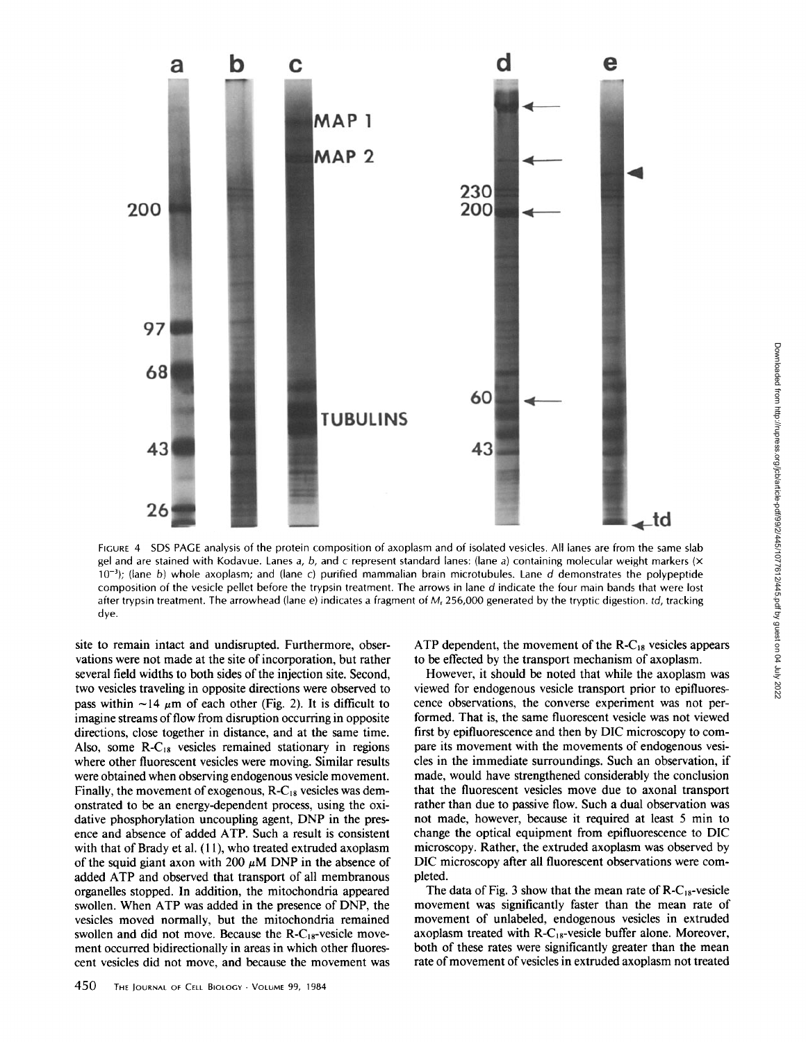

FIGURE 4 SDS PAGE analysis of the protein composition of axoplasm and of isolated vesicles. All lanes are from the same slab gel and are stained with Kodavue. Lanes a, b, and c represent standard lanes: (lane a) containing molecular weight markers ( $\times$  $10^{-3}$ ); (lane b) whole axoplasm; and (lane c) purified mammalian brain microtubules. Lane d demonstrates the polypeptide composition of the vesicle pellet before the trypsin treatment. The arrows in lane d indicate the four main bands that were lost after trypsin treatment. The arrowhead (lane e) indicates a fragment of  $M<sub>t</sub>$  256,000 generated by the tryptic digestion. *td*, tracking dye.

site to remain intact and undisrupted. Furthermore, observations were not made at the site of incorporation, but rather several field widths to both sides of the injection site. Second, two vesicles traveling in opposite directions were observed to pass within  $\sim$  14  $\mu$ m of each other (Fig. 2). It is difficult to imagine streams of flow from disruption occurring in opposite directions, close together in distance, and at the same time. Also, some  $R-C_{18}$  vesicles remained stationary in regions where other fluorescent vesicles were moving. Similar results were obtained when observing endogenous vesicle movement. Finally, the movement of exogenous,  $R-C_{18}$  vesicles was demonstrated to be an energy-dependent process, using the oxidative phosphorylation uncoupling agent, DNP in the presence and absence of added ATP. Such <sup>a</sup> result is consistent with that of Brady et al. (11), who treated extruded axoplasm of the squid giant axon with 200  $\mu$ M DNP in the absence of added ATP and observed that transport of all membranous organelles stopped. In addition, the mitochondria appeared swollen. When ATP was added in the presence of DNP, the vesicles moved normally, but the mitochondria remained swollen and did not move. Because the  $R-C_{18}$ -vesicle movement occurred bidirectionally in areas in which other fluorescent vesicles did not move, and because the movement was

ATP dependent, the movement of the  $R-C_{18}$  vesicles appears to be effected by the transport mechanism of axoplasm .

However, it should be noted that while the axoplasm was viewed for endogenous vesicle transport prior to epifluorescence observations, the converse experiment was not performed. That is, the same fluorescent vesicle was not viewed first by epifluorescence and then by DIC microscopy to compare its movement with the movements of endogenous vesicles in the immediate surroundings. Such an observation, if made, would have strengthened considerably the conclusion that the fluorescent vesicles move due to axonal transport rather than due to passive flow. Such a dual observation was not made, however, because it required at least 5 min to change the optical equipment from epifluorescence to DIC microscopy. Rather, the extruded axoplasm was observed by DIC microscopy after all fluorescent observations were completed.

The data of Fig. 3 show that the mean rate of  $R-C_{18}$ -vesicle movement was significantly faster than the mean rate of movement of unlabeled, endogenous vesicles in extruded axoplasm treated with R-C18-vesicle buffer alone. Moreover, both of these rates were significantly greater than the mean rate of movement of vesicles in extruded axoplasm not treated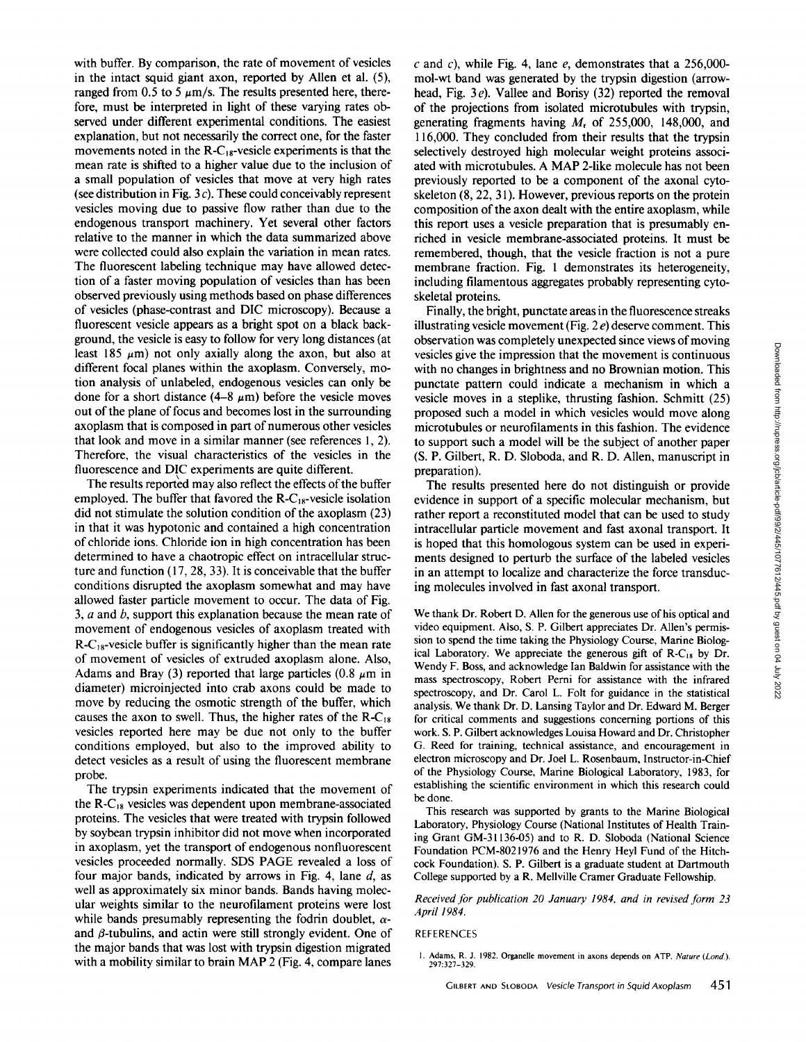with buffer. By comparison, the rate of movement of vesicles in the intact squid giant axon, reported by Allen et al. (5), ranged from 0.5 to 5  $\mu$ m/s. The results presented here, therefore, must be interpreted in light of these varying rates observed under different experimental conditions. The easiest explanation, but not necessarily the correct one, for the faster movements noted in the  $R-C_{18}$ -vesicle experiments is that the mean rate is shifted to a higher value due to the inclusion of a small population of vesicles that move at very high rates (see distribution in Fig. 3 $c$ ). These could conceivably represent vesicles moving due to passive flow rather than due to the endogenous transport machinery. Yet several other factors relative to the manner in which the data summarized above were collected could also explain the variation in mean rates. The fluorescent labeling technique may have allowed detection of a faster moving population of vesicles than has been observed previously using methods based on phase differences of vesicles (phase-contrast and DIC microscopy). Because a fluorescent vesicle appears as a bright spot on a black background, the vesicle is easy to follow for very long distances (at least 185  $\mu$ m) not only axially along the axon, but also at different focal planes within the axoplasm. Conversely, motion analysis of unlabeled, endogenous vesicles can only be done for a short distance  $(4-8 \mu m)$  before the vesicle moves out of the plane of focus and becomes lost in the surrounding axoplasm that is composed in part of numerous other vesicles that look and move in a similar manner (see references 1, 2). Therefore, the visual characteristics of the vesicles in the fluorescence and DIC experiments are quite different.

The results reported may also reflect the effects of the buffer employed. The buffer that favored the  $R-C_{18}$ -vesicle isolation did not stimulate the solution condition of the axoplasm (23) in that it was hypotonic and contained a high concentration of chloride ions. Chloride ion in high concentration has been determined to have a chaotropic effect on intracellular structure and function (17, 28, 33). It is conceivable that the buffer conditions disrupted the axoplasm somewhat and may have allowed faster particle movement to occur. The data of Fig. 3,  $a$  and  $b$ , support this explanation because the mean rate of movement of endogenous vesicles of axoplasm treated with  $R-C_{18}$ -vesicle buffer is significantly higher than the mean rate of movement of vesicles of extruded axoplasm alone. Also, Adams and Bray (3) reported that large particles (0.8  $\mu$ m in diameter) microinjected into crab axons could be made to move by reducing the osmotic strength of the buffer, which causes the axon to swell. Thus, the higher rates of the  $R-C_{18}$ vesicles reported here may be due not only to the buffer conditions employed, but also to the improved ability to detect vesicles as a result of using the fluorescent membrane probe.

The trypsin experiments indicated that the movement of the  $R-C_{18}$  vesicles was dependent upon membrane-associated proteins. The vesicles that were treated with trypsin followed by soybean trypsin inhibitor did not move when incorporated in axoplasm, yet the transport of endogenous nonfluorescent vesicles proceeded normally. SDS PAGE revealed a loss of four major bands, indicated by arrows in Fig. 4, lane  $d$ , as well as approximately six minor bands. Bands having molecular weights similar to the neurofilament proteins were lost while bands presumably representing the fodrin doublet,  $\alpha$ and  $\beta$ -tubulins, and actin were still strongly evident. One of the major bands that was lost with trypsin digestion migrated with a mobility similar to brain MAP  $2$  (Fig. 4, compare lanes  $c$  and  $c$ ), while Fig. 4, lane  $e$ , demonstrates that a 256,000mol-wt band was generated by the trypsin digestion (arrowhead, Fig.  $3e$ ). Vallee and Borisy (32) reported the removal of the projections from isolated microtubules with trypsin, generating fragments having  $M_r$  of 255,000, 148,000, and 116,000 . They concluded from their results that the trypsin selectively destroyed high molecular weight proteins associated with microtubules. A MAP 2-like molecule has not been previously reported to be a component of the axonal cytoskeleton (8, 22, 31). However, previous reports on the protein composition of the axon dealt with the entire axoplasm, while this report uses a vesicle preparation that is presumably enriched in vesicle membrane-associated proteins. It must be remembered, though, that the vesicle fraction is not a pure membrane fraction. Fig. 1 demonstrates its heterogeneity, including filamentous aggregates probably representing cytoskeletal proteins.

Finally, the bright, punctate areas in the fluorescence streaks illustrating vesicle movement (Fig.  $2e$ ) deserve comment. This observation was completely unexpected since views of moving vesicles give the impression that the movement is continuous with no changes in brightness and no Brownian motion. This punctate pattern could indicate a mechanism in which a vesicle moves in a steplike, thrusting fashion. Schmitt (25) proposed such a model in which vesicles would move along microtubules or neurofilaments in this fashion. The evidence to support such a model will be the subject of another paper (S. P. Gilbert, R. D. Sloboda, and R. D. Allen, manuscript in preparation).

The results presented here do not distinguish or provide evidence in support of a specific molecular mechanism, but rather report a reconstituted model that can be used to study intracellular particle movement and fast axonal transport. It is hoped that this homologous system can be used in experiments designed to perturb the surface of the labeled vesicles in an attempt to localize and characterize the force transducing molecules involved in fast axonal transport.

We thank Dr. Robert D. Allen for the generous use of his optical and video equipment. Also, S. P. Gilbert appreciates Dr. Allen's permission to spend the time taking the Physiology Course, Marine Biological Laboratory. We appreciate the generous gift of R-C18 by Dr. Wendy F. Boss, and acknowledge Ian Baldwin for assistance with the mass spectroscopy, Robert Perni for assistance with the infrared spectroscopy, and Dr. Carol L. Folt for guidance in the statistical analysis . We thank Dr. D. Lansing Taylor and Dr. Edward M. Berger for critical comments and suggestions concerning portions of this work. S. P. Gilbert acknowledges Louisa Howard and Dr. Christopher G. Reed for training, technical assistance, and encouragement in electron microscopy and Dr. Joel L. Rosenbaum, Instructor-in-Chief of the Physiology Course, Marine Biological Laboratory, 1983, for establishing the scientific environment in which this research could be done.

This research was supported by grants to the Marine Biological Laboratory, Physiology Course (National Institutes of Health Training Grant GM-31136-05) and to R. D. Sloboda (National Science Foundation PCM-8021976 and the Henry Heyl Fund of the Hitchcock Foundation). S. P. Gilbert is a graduate student at Dartmouth College supported by <sup>a</sup> R. Mellville Cramer Graduate Fellowship .

Received for publication 20 January 1984, and in revised form 23 April 1984.

REFERENCES

1. Adams, R. J. 1982. Organelle movement in axons depends on ATP. Nature (Lond.). 297 :327-329.